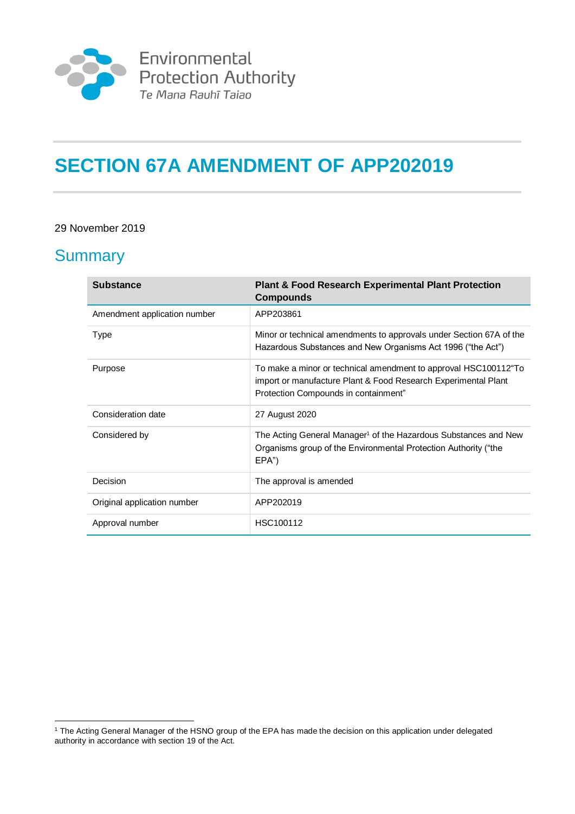

# **SECTION 67A AMENDMENT OF APP202019**

#### 29 November 2019

### **Summary**

| <b>Substance</b>             | <b>Plant &amp; Food Research Experimental Plant Protection</b><br><b>Compounds</b>                                                                                        |
|------------------------------|---------------------------------------------------------------------------------------------------------------------------------------------------------------------------|
| Amendment application number | APP203861                                                                                                                                                                 |
| Type                         | Minor or technical amendments to approvals under Section 67A of the<br>Hazardous Substances and New Organisms Act 1996 ("the Act")                                        |
| Purpose                      | To make a minor or technical amendment to approval HSC100112 To<br>import or manufacture Plant & Food Research Experimental Plant<br>Protection Compounds in containment" |
| Consideration date           | 27 August 2020                                                                                                                                                            |
| Considered by                | The Acting General Manager <sup>1</sup> of the Hazardous Substances and New<br>Organisms group of the Environmental Protection Authority ("the<br>EPA")                   |
| Decision                     | The approval is amended                                                                                                                                                   |
| Original application number  | APP202019                                                                                                                                                                 |
| Approval number              | HSC100112                                                                                                                                                                 |

<sup>1</sup> <sup>1</sup> The Acting General Manager of the HSNO group of the EPA has made the decision on this application under delegated authority in accordance with section 19 of the Act.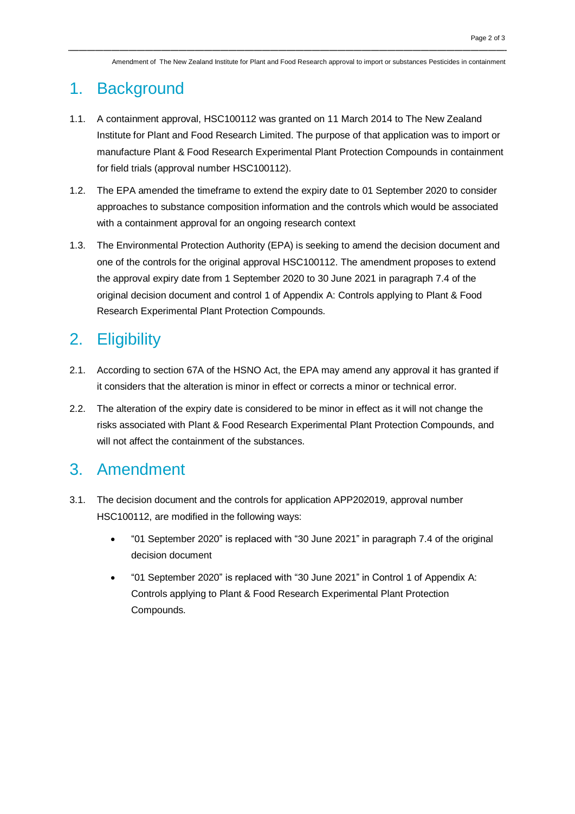Amendment of The New Zealand Institute for Plant and Food Research approval to import or substances Pesticides in containment

#### 1. Background

- 1.1. A containment approval, HSC100112 was granted on 11 March 2014 to The New Zealand Institute for Plant and Food Research Limited. The purpose of that application was to import or manufacture Plant & Food Research Experimental Plant Protection Compounds in containment for field trials (approval number HSC100112).
- 1.2. The EPA amended the timeframe to extend the expiry date to 01 September 2020 to consider approaches to substance composition information and the controls which would be associated with a containment approval for an ongoing research context
- 1.3. The Environmental Protection Authority (EPA) is seeking to amend the decision document and one of the controls for the original approval HSC100112. The amendment proposes to extend the approval expiry date from 1 September 2020 to 30 June 2021 in paragraph 7.4 of the original decision document and control 1 of Appendix A: Controls applying to Plant & Food Research Experimental Plant Protection Compounds.

## 2. Eligibility

- 2.1. According to section 67A of the HSNO Act, the EPA may amend any approval it has granted if it considers that the alteration is minor in effect or corrects a minor or technical error.
- 2.2. The alteration of the expiry date is considered to be minor in effect as it will not change the risks associated with Plant & Food Research Experimental Plant Protection Compounds, and will not affect the containment of the substances.

#### 3. Amendment

- 3.1. The decision document and the controls for application APP202019, approval number HSC100112, are modified in the following ways:
	- "01 September 2020" is replaced with "30 June 2021" in paragraph 7.4 of the original decision document
	- "01 September 2020" is replaced with "30 June 2021" in Control 1 of Appendix A: Controls applying to Plant & Food Research Experimental Plant Protection Compounds.